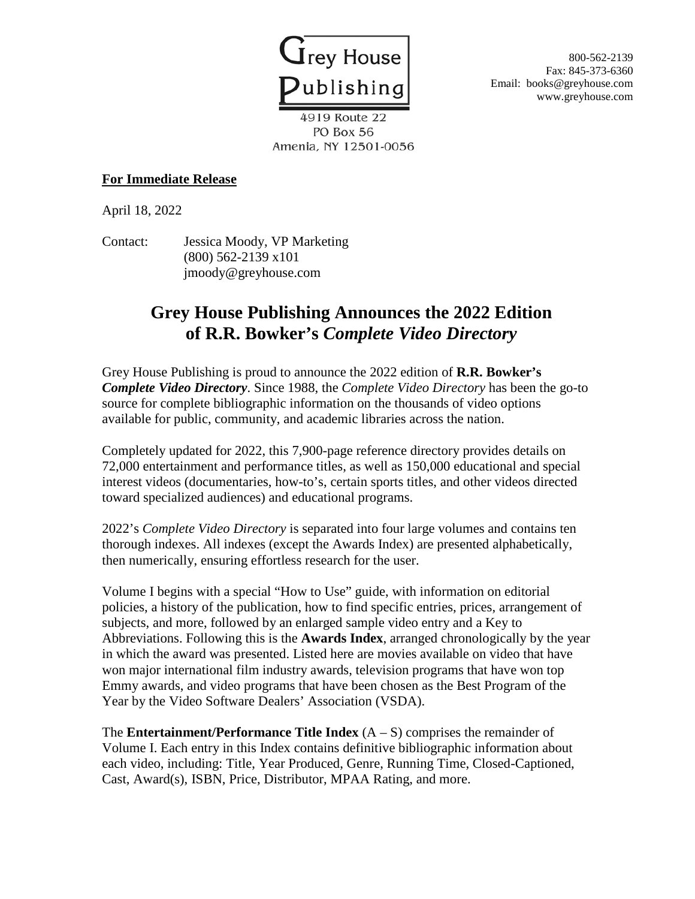

800-562-2139 Fax: 845-373-6360 Email: books@greyhouse.com www.greyhouse.com

4919 Route 22 PO Box 56 Amenia, NY 12501-0056

## **For Immediate Release**

April 18, 2022

Contact: Jessica Moody, VP Marketing (800) 562-2139 x101 jmoody@greyhouse.com

## **Grey House Publishing Announces the 2022 Edition of R.R. Bowker's** *Complete Video Directory*

Grey House Publishing is proud to announce the 2022 edition of **R.R. Bowker's**  *Complete Video Directory*. Since 1988, the *Complete Video Directory* has been the go-to source for complete bibliographic information on the thousands of video options available for public, community, and academic libraries across the nation.

Completely updated for 2022, this 7,900-page reference directory provides details on 72,000 entertainment and performance titles, as well as 150,000 educational and special interest videos (documentaries, how-to's, certain sports titles, and other videos directed toward specialized audiences) and educational programs.

2022's *Complete Video Directory* is separated into four large volumes and contains ten thorough indexes. All indexes (except the Awards Index) are presented alphabetically, then numerically, ensuring effortless research for the user.

Volume I begins with a special "How to Use" guide, with information on editorial policies, a history of the publication, how to find specific entries, prices, arrangement of subjects, and more, followed by an enlarged sample video entry and a Key to Abbreviations. Following this is the **Awards Index**, arranged chronologically by the year in which the award was presented. Listed here are movies available on video that have won major international film industry awards, television programs that have won top Emmy awards, and video programs that have been chosen as the Best Program of the Year by the Video Software Dealers' Association (VSDA).

The **Entertainment/Performance Title Index**  $(A - S)$  comprises the remainder of Volume I. Each entry in this Index contains definitive bibliographic information about each video, including: Title, Year Produced, Genre, Running Time, Closed-Captioned, Cast, Award(s), ISBN, Price, Distributor, MPAA Rating, and more.